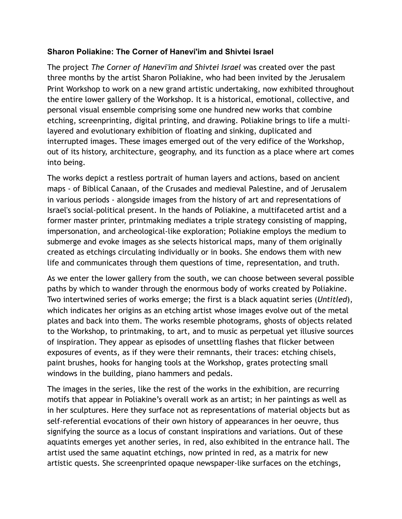## **Sharon Poliakine: The Corner of Hanevi'im and Shivtei Israel**

The project *The Corner of Hanevi'im and Shivtei Israel* was created over the past three months by the artist Sharon Poliakine, who had been invited by the Jerusalem Print Workshop to work on a new grand artistic undertaking, now exhibited throughout the entire lower gallery of the Workshop. It is a historical, emotional, collective, and personal visual ensemble comprising some one hundred new works that combine etching, screenprinting, digital printing, and drawing. Poliakine brings to life a multilayered and evolutionary exhibition of floating and sinking, duplicated and interrupted images. These images emerged out of the very edifice of the Workshop, out of its history, architecture, geography, and its function as a place where art comes into being.

The works depict a restless portrait of human layers and actions, based on ancient maps - of Biblical Canaan, of the Crusades and medieval Palestine, and of Jerusalem in various periods - alongside images from the history of art and representations of Israel's social-political present. In the hands of Poliakine, a multifaceted artist and a former master printer, printmaking mediates a triple strategy consisting of mapping, impersonation, and archeological-like exploration; Poliakine employs the medium to submerge and evoke images as she selects historical maps, many of them originally created as etchings circulating individually or in books. She endows them with new life and communicates through them questions of time, representation, and truth.

As we enter the lower gallery from the south, we can choose between several possible paths by which to wander through the enormous body of works created by Poliakine. Two intertwined series of works emerge; the first is a black aquatint series (*Untitled*), which indicates her origins as an etching artist whose images evolve out of the metal plates and back into them. The works resemble photograms, ghosts of objects related to the Workshop, to printmaking, to art, and to music as perpetual yet illusive sources of inspiration. They appear as episodes of unsettling flashes that flicker between exposures of events, as if they were their remnants, their traces: etching chisels, paint brushes, hooks for hanging tools at the Workshop, grates protecting small windows in the building, piano hammers and pedals.

The images in the series, like the rest of the works in the exhibition, are recurring motifs that appear in Poliakine's overall work as an artist; in her paintings as well as in her sculptures. Here they surface not as representations of material objects but as self-referential evocations of their own history of appearances in her oeuvre, thus signifying the source as a locus of constant inspirations and variations. Out of these aquatints emerges yet another series, in red, also exhibited in the entrance hall. The artist used the same aquatint etchings, now printed in red, as a matrix for new artistic quests. She screenprinted opaque newspaper-like surfaces on the etchings,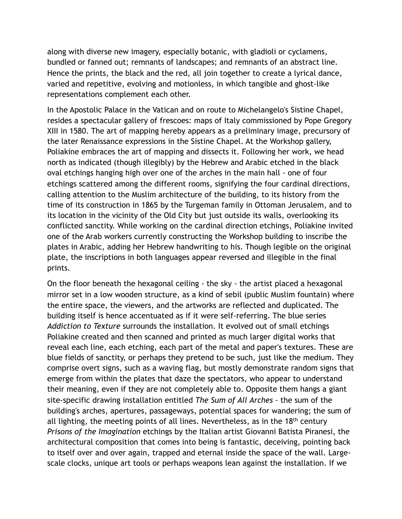along with diverse new imagery, especially botanic, with gladioli or cyclamens, bundled or fanned out; remnants of landscapes; and remnants of an abstract line. Hence the prints, the black and the red, all join together to create a lyrical dance, varied and repetitive, evolving and motionless, in which tangible and ghost-like representations complement each other.

In the Apostolic Palace in the Vatican and on route to Michelangelo's Sistine Chapel, resides a spectacular gallery of frescoes: maps of Italy commissioned by Pope Gregory XIII in 1580. The art of mapping hereby appears as a preliminary image, precursory of the later Renaissance expressions in the Sistine Chapel. At the Workshop gallery, Poliakine embraces the art of mapping and dissects it. Following her work, we head north as indicated (though illegibly) by the Hebrew and Arabic etched in the black oval etchings hanging high over one of the arches in the main hall - one of four etchings scattered among the different rooms, signifying the four cardinal directions, calling attention to the Muslim architecture of the building, to its history from the time of its construction in 1865 by the Turgeman family in Ottoman Jerusalem, and to its location in the vicinity of the Old City but just outside its walls, overlooking its conflicted sanctity. While working on the cardinal direction etchings, Poliakine invited one of the Arab workers currently constructing the Workshop building to inscribe the plates in Arabic, adding her Hebrew handwriting to his. Though legible on the original plate, the inscriptions in both languages appear reversed and illegible in the final prints.

On the floor beneath the hexagonal ceiling - the sky - the artist placed a hexagonal mirror set in a low wooden structure, as a kind of sebil (public Muslim fountain) where the entire space, the viewers, and the artworks are reflected and duplicated. The building itself is hence accentuated as if it were self-referring. The blue series *Addiction to Texture* surrounds the installation. It evolved out of small etchings Poliakine created and then scanned and printed as much larger digital works that reveal each line, each etching, each part of the metal and paper's textures. These are blue fields of sanctity, or perhaps they pretend to be such, just like the medium. They comprise overt signs, such as a waving flag, but mostly demonstrate random signs that emerge from within the plates that daze the spectators, who appear to understand their meaning, even if they are not completely able to. Opposite them hangs a giant site-specific drawing installation entitled *The Sum of All Arches* - the sum of the building's arches, apertures, passageways, potential spaces for wandering; the sum of all lighting, the meeting points of all lines. Nevertheless, as in the  $18<sup>th</sup>$  century *Prisons of the Imagination* etchings by the Italian artist Giovanni Batista Piranesi, the architectural composition that comes into being is fantastic, deceiving, pointing back to itself over and over again, trapped and eternal inside the space of the wall. Largescale clocks, unique art tools or perhaps weapons lean against the installation. If we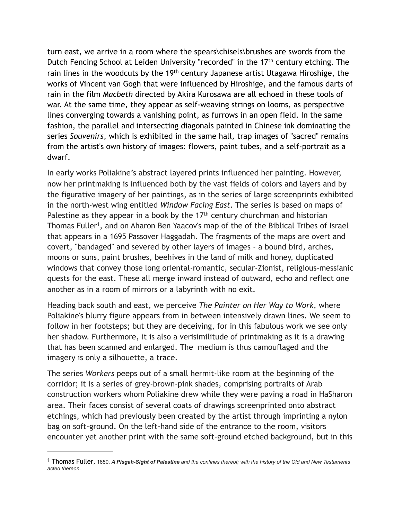turn east, we arrive in a room where the spears\chisels\brushes are swords from the Dutch Fencing School at Leiden University "recorded" in the 17<sup>th</sup> century etching. The rain lines in the woodcuts by the 19<sup>th</sup> century Japanese artist Utagawa Hiroshige, the works of Vincent van Gogh that were influenced by Hiroshige, and the famous darts of rain in the film *Macbeth* directed by Akira Kurosawa are all echoed in these tools of war. At the same time, they appear as self-weaving strings on looms, as perspective lines converging towards a vanishing point, as furrows in an open field. In the same fashion, the parallel and intersecting diagonals painted in Chinese ink dominating the series *Souvenirs*, which is exhibited in the same hall*,* trap images of "sacred" remains from the artist's own history of images: flowers, paint tubes, and a self-portrait as a dwarf.

<span id="page-2-1"></span>In early works Poliakine's abstract layered prints influenced her painting. However, now her printmaking is influenced both by the vast fields of colors and layers and by the figurative imagery of her paintings, as in the series of large screenprints exhibited in the north-west wing entitled *Window Facing East*. The series is based on maps of Palestine as they appear in a book by the  $17<sup>th</sup>$  century churchman and historian Thomas Fuller<sup>[1](#page-2-0)</sup>, and on Aharon Ben Yaacov's map of the of the Biblical Tribes of Israel that appears in a 1695 Passover Haggadah. The fragments of the maps are overt and covert, "bandaged" and severed by other layers of images - a bound bird, arches, moons or suns, paint brushes, beehives in the land of milk and honey, duplicated windows that convey those long oriental-romantic, secular-Zionist, religious-messianic quests for the east. These all merge inward instead of outward, echo and reflect one another as in a room of mirrors or a labyrinth with no exit.

Heading back south and east, we perceive *The Painter on Her Way to Work*, where Poliakine's blurry figure appears from in between intensively drawn lines. We seem to follow in her footsteps; but they are deceiving, for in this fabulous work we see only her shadow. Furthermore, it is also a verisimilitude of printmaking as it is a drawing that has been scanned and enlarged. The medium is thus camouflaged and the imagery is only a silhouette, a trace.

The series *Workers* peeps out of a small hermit-like room at the beginning of the corridor; it is a series of grey-brown-pink shades, comprising portraits of Arab construction workers whom Poliakine drew while they were paving a road in HaSharon area. Their faces consist of several coats of drawings screenprinted onto abstract etchings, which had previously been created by the artist through imprinting a nylon bag on soft-ground. On the left-hand side of the entrance to the room, visitors encounter yet another print with the same soft-ground etched background, but in this

<span id="page-2-0"></span>Thomas Fuller, 1650, *A Pisgah-Sight of Palestine and the confines thereof; with the history of the Old and New Testaments* [1](#page-2-1) *acted thereon.*